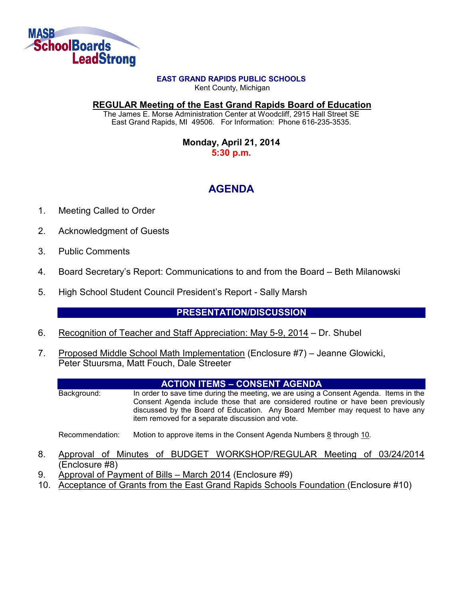

#### **EAST GRAND RAPIDS PUBLIC SCHOOLS**

Kent County, Michigan

**REGULAR Meeting of the East Grand Rapids Board of Education**

The James E. Morse Administration Center at Woodcliff, 2915 Hall Street SE East Grand Rapids, MI 49506. For Information: Phone 616-235-3535.

> **Monday, April 21, 2014 5:30 p.m.**

# **AGENDA**

- 1. Meeting Called to Order
- 2. Acknowledgment of Guests
- 3. Public Comments
- 4. Board Secretary's Report: Communications to and from the Board Beth Milanowski
- 5. High School Student Council President's Report Sally Marsh

# **PRESENTATION/DISCUSSION**

- 6. Recognition of Teacher and Staff Appreciation: May 5-9, 2014 Dr. Shubel
- 7. Proposed Middle School Math Implementation (Enclosure #7) Jeanne Glowicki, Peter Stuursma, Matt Fouch, Dale Streeter

#### **ACTION ITEMS – CONSENT AGENDA**

Background: In order to save time during the meeting, we are using a Consent Agenda. Items in the Consent Agenda include those that are considered routine or have been previously discussed by the Board of Education. Any Board Member may request to have any item removed for a separate discussion and vote.

Recommendation: Motion to approve items in the Consent Agenda Numbers 8 through 10.

- 8. Approval of Minutes of BUDGET WORKSHOP/REGULAR Meeting of 03/24/2014 (Enclosure #8)
- 9. Approval of Payment of Bills March 2014 (Enclosure #9)
- 10. Acceptance of Grants from the East Grand Rapids Schools Foundation (Enclosure #10)